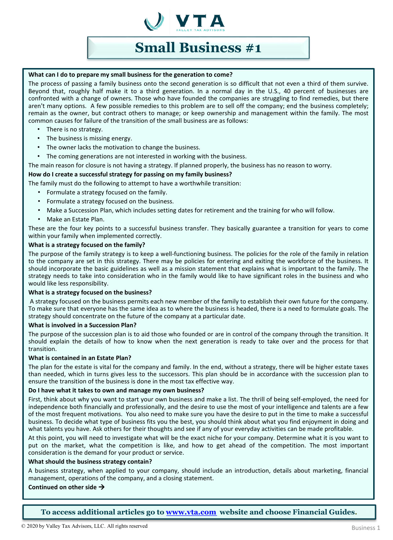

# **Small Business #1**

#### **What can I do to prepare my small business for the generation to come?**

The process of passing a family business onto the second generation is so difficult that not even a third of them survive. Beyond that, roughly half make it to a third generation. In a normal day in the U.S., 40 percent of businesses are confronted with a change of owners. Those who have founded the companies are struggling to find remedies, but there aren't many options. A few possible remedies to this problem are to sell off the company; end the business completely; remain as the owner, but contract others to manage; or keep ownership and management within the family. The most common causes for failure of the transition of the small business are as follows:

- There is no strategy.
- The business is missing energy.
- The owner lacks the motivation to change the business.
- The coming generations are not interested in working with the business.

The main reason for closure is not having a strategy. If planned properly, the business has no reason to worry.

# **How do I create a successful strategy for passing on my family business?**

The family must do the following to attempt to have a worthwhile transition:

- Formulate a strategy focused on the family.
- Formulate a strategy focused on the business.
- Make a Succession Plan, which includes setting dates for retirement and the training for who will follow.
- Make an Estate Plan.

These are the four key points to a successful business transfer. They basically guarantee a transition for years to come within your family when implemented correctly.

#### **What is a strategy focused on the family?**

The purpose of the family strategy is to keep a well-functioning business. The policies for the role of the family in relation to the company are set in this strategy. There may be policies for entering and exiting the workforce of the business. It should incorporate the basic guidelines as well as a mission statement that explains what is important to the family. The strategy needs to take into consideration who in the family would like to have significant roles in the business and who would like less responsibility.

#### **What is a strategy focused on the business?**

A strategy focused on the business permits each new member of the family to establish their own future for the company. To make sure that everyone has the same idea as to where the business is headed, there is a need to formulate goals. The strategy should concentrate on the future of the company at a particular date.

# **What is involved in a Succession Plan?**

The purpose of the succession plan is to aid those who founded or are in control of the company through the transition. It should explain the details of how to know when the next generation is ready to take over and the process for that transition.

#### **What is contained in an Estate Plan?**

The plan for the estate is vital for the company and family. In the end, without a strategy, there will be higher estate taxes than needed, which in turns gives less to the successors. This plan should be in accordance with the succession plan to ensure the transition of the business is done in the most tax effective way.

#### **Do I have what it takes to own and manage my own business?**

First, think about why you want to start your own business and make a list. The thrill of being self-employed, the need for independence both financially and professionally, and the desire to use the most of your intelligence and talents are a few of the most frequent motivations. You also need to make sure you have the desire to put in the time to make a successful business. To decide what type of business fits you the best, you should think about what you find enjoyment in doing and what talents you have. Ask others for their thoughts and see if any of your everyday activities can be made profitable.

At this point, you will need to investigate what will be the exact niche for your company. Determine what it is you want to put on the market, what the competition is like, and how to get ahead of the competition. The most important consideration is the demand for your product or service.

#### **What should the business strategy contain?**

A business strategy, when applied to your company, should include an introduction, details about marketing, financial management, operations of the company, and a closing statement.

#### **Continued on other side**

**To access additional articles go to [www.vta.com](http://www.vta.com/) website and choose Financial Guides.**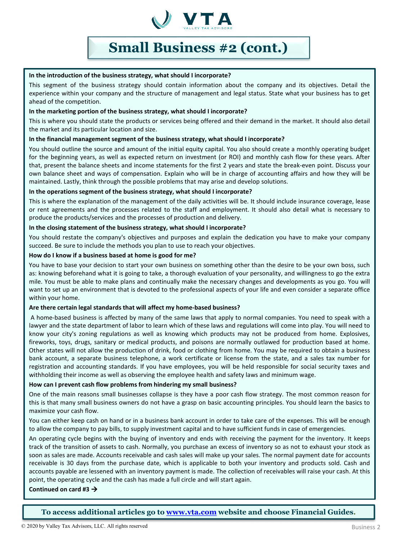

# **Small Business #2 (cont.)**

# **In the introduction of the business strategy, what should I incorporate?**

This segment of the business strategy should contain information about the company and its objectives. Detail the experience within your company and the structure of management and legal status. State what your business has to get ahead of the competition.

# **In the marketing portion of the business strategy, what should I incorporate?**

This is where you should state the products or services being offered and their demand in the market. It should also detail the market and its particular location and size.

# **In the financial management segment of the business strategy, what should I incorporate?**

You should outline the source and amount of the initial equity capital. You also should create a monthly operating budget for the beginning years, as well as expected return on investment (or ROI) and monthly cash flow for these years. After that, present the balance sheets and income statements for the first 2 years and state the break-even point. Discuss your own balance sheet and ways of compensation. Explain who will be in charge of accounting affairs and how they will be maintained. Lastly, think through the possible problems that may arise and develop solutions.

# **In the operations segment of the business strategy, what should I incorporate?**

This is where the explanation of the management of the daily activities will be. It should include insurance coverage, lease or rent agreements and the processes related to the staff and employment. It should also detail what is necessary to produce the products/services and the processes of production and delivery.

# **In the closing statement of the business strategy, what should I incorporate?**

You should restate the company's objectives and purposes and explain the dedication you have to make your company succeed. Be sure to include the methods you plan to use to reach your objectives.

# **How do I know if a business based at home is good for me?**

You have to base your decision to start your own business on something other than the desire to be your own boss, such as: knowing beforehand what it is going to take, a thorough evaluation of your personality, and willingness to go the extra mile. You must be able to make plans and continually make the necessary changes and developments as you go. You will want to set up an environment that is devoted to the professional aspects of your life and even consider a separate office within your home.

# **Are there certain legal standards that will affect my home-based business?**

A home-based business is affected by many of the same laws that apply to normal companies. You need to speak with a lawyer and the state department of labor to learn which of these laws and regulations will come into play. You will need to know your city's zoning regulations as well as knowing which products may not be produced from home. Explosives, fireworks, toys, drugs, sanitary or medical products, and poisons are normally outlawed for production based at home. Other states will not allow the production of drink, food or clothing from home. You may be required to obtain a business bank account, a separate business telephone, a work certificate or license from the state, and a sales tax number for registration and accounting standards. If you have employees, you will be held responsible for social security taxes and withholding their income as well as observing the employee health and safety laws and minimum wage.

# **How can I prevent cash flow problems from hindering my small business?**

One of the main reasons small businesses collapse is they have a poor cash flow strategy. The most common reason for this is that many small business owners do not have a grasp on basic accounting principles. You should learn the basics to maximize your cash flow.

You can either keep cash on hand or in a business bank account in order to take care of the expenses. This will be enough to allow the company to pay bills, to supply investment capital and to have sufficient funds in case of emergencies.

An operating cycle begins with the buying of inventory and ends with receiving the payment for the inventory. It keeps track of the transition of assets to cash. Normally, you purchase an excess of inventory so as not to exhaust your stock as soon as sales are made. Accounts receivable and cash sales will make up your sales. The normal payment date for accounts receivable is 30 days from the purchase date, which is applicable to both your inventory and products sold. Cash and accounts payable are lessened with an inventory payment is made. The collection of receivables will raise your cash. At this point, the operating cycle and the cash has made a full circle and will start again.

**Continued on card #3**

**To access additional articles go to [www.vta.com](http://www.vta.com/) website and choose Financial Guides.**